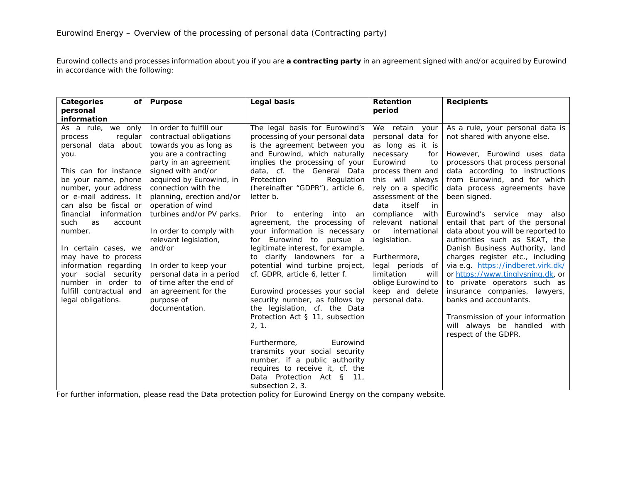Eurowind collects and processes information about you if you are **a contracting party** in an agreement signed with and/or acquired by Eurowind in accordance with the following:

| Categories<br>of <sub>l</sub> | <b>Purpose</b>            | Legal basis                       | <b>Retention</b>           | <b>Recipients</b>                  |
|-------------------------------|---------------------------|-----------------------------------|----------------------------|------------------------------------|
| personal                      |                           |                                   | period                     |                                    |
| information                   |                           |                                   |                            |                                    |
| As a rule, we only            | In order to fulfill our   | The legal basis for Eurowind's    | We retain your             | As a rule, your personal data is   |
| regular<br>process            | contractual obligations   | processing of your personal data  | personal data for          | not shared with anyone else.       |
| data about<br>personal        | towards you as long as    | is the agreement between you      | as long as it is           |                                    |
| you.                          | you are a contracting     | and Eurowind, which naturally     | necessary<br>for           | However, Eurowind uses data        |
|                               | party in an agreement     | implies the processing of your    | Eurowind<br>to             | processors that process personal   |
| This can for instance         | signed with and/or        | data, cf. the General Data        | process them and           | data according to instructions     |
| be your name, phone           | acquired by Eurowind, in  | Protection<br>Regulation          | this will always           | from Eurowind, and for which       |
| number, your address          | connection with the       | (hereinafter "GDPR"), article 6,  | rely on a specific         | data process agreements have       |
| or e-mail address. It         | planning, erection and/or | letter b.                         | assessment of the          | been signed.                       |
| can also be fiscal or         | operation of wind         |                                   | itself<br>data<br>in i     |                                    |
| financial<br>information      | turbines and/or PV parks. | Prior to entering<br>into<br>an   | compliance<br>with         | Eurowind's service may also        |
| such<br>as<br>account         |                           | agreement, the processing of      | relevant national          | entail that part of the personal   |
| number.                       | In order to comply with   | your information is necessary     | international<br><b>or</b> | data about you will be reported to |
|                               | relevant legislation,     | for Eurowind to pursue a          | legislation.               | authorities such as SKAT, the      |
| In certain cases, we          | and/or                    | legitimate interest, for example, |                            | Danish Business Authority, land    |
| may have to process           |                           | to clarify landowners for a       | Furthermore,               | charges register etc., including   |
| information regarding         | In order to keep your     | potential wind turbine project,   | legal periods of           | via e.g. https://indberet.virk.dk/ |
| your social security          | personal data in a period | cf. GDPR, article 6, letter f.    | limitation<br>will         | or https://www.tinglysning.dk, or  |
| number in order to            | of time after the end of  |                                   | oblige Eurowind to         | to private operators such as       |
| fulfill contractual and       | an agreement for the      | Eurowind processes your social    | keep and delete            | insurance companies, lawyers,      |
| legal obligations.            | purpose of                | security number, as follows by    | personal data.             | banks and accountants.             |
|                               | documentation.            | the legislation, cf. the Data     |                            |                                    |
|                               |                           | Protection Act § 11, subsection   |                            | Transmission of your information   |
|                               |                           | 2, 1.                             |                            | will always be handled with        |
|                               |                           |                                   |                            | respect of the GDPR.               |
|                               |                           | Eurowind<br>Furthermore.          |                            |                                    |
|                               |                           | transmits your social security    |                            |                                    |
|                               |                           | number, if a public authority     |                            |                                    |
|                               |                           | requires to receive it, cf. the   |                            |                                    |
|                               |                           | Data Protection Act §<br>11,      |                            |                                    |
|                               |                           | subsection 2, 3.                  |                            |                                    |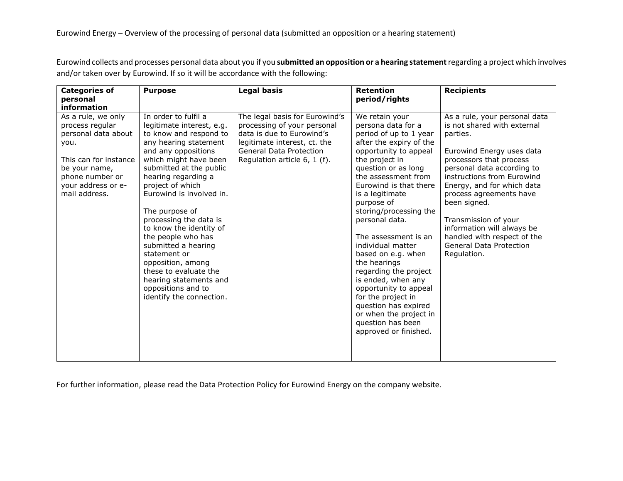Eurowind collects and processes personal data about you if you **submitted an opposition or a hearing statement**regarding a project which involves and/or taken over by Eurowind. If so it will be accordance with the following:

| <b>Categories of</b><br>personal                                                                                                                                         | <b>Purpose</b>                                                                                                                                                                                                                                                                                                                                                                                                                                                                                                       | <b>Legal basis</b>                                                                                                                                                                    | <b>Retention</b><br>period/rights                                                                                                                                                                                                                                                                                                                                                                                                                                                                                                                                          | <b>Recipients</b>                                                                                                                                                                                                                                                                                                                                                                                    |
|--------------------------------------------------------------------------------------------------------------------------------------------------------------------------|----------------------------------------------------------------------------------------------------------------------------------------------------------------------------------------------------------------------------------------------------------------------------------------------------------------------------------------------------------------------------------------------------------------------------------------------------------------------------------------------------------------------|---------------------------------------------------------------------------------------------------------------------------------------------------------------------------------------|----------------------------------------------------------------------------------------------------------------------------------------------------------------------------------------------------------------------------------------------------------------------------------------------------------------------------------------------------------------------------------------------------------------------------------------------------------------------------------------------------------------------------------------------------------------------------|------------------------------------------------------------------------------------------------------------------------------------------------------------------------------------------------------------------------------------------------------------------------------------------------------------------------------------------------------------------------------------------------------|
| information                                                                                                                                                              |                                                                                                                                                                                                                                                                                                                                                                                                                                                                                                                      |                                                                                                                                                                                       |                                                                                                                                                                                                                                                                                                                                                                                                                                                                                                                                                                            |                                                                                                                                                                                                                                                                                                                                                                                                      |
| As a rule, we only<br>process regular<br>personal data about<br>you.<br>This can for instance<br>be your name,<br>phone number or<br>your address or e-<br>mail address. | In order to fulfil a<br>legitimate interest, e.g.<br>to know and respond to<br>any hearing statement<br>and any oppositions<br>which might have been<br>submitted at the public<br>hearing regarding a<br>project of which<br>Eurowind is involved in.<br>The purpose of<br>processing the data is<br>to know the identity of<br>the people who has<br>submitted a hearing<br>statement or<br>opposition, among<br>these to evaluate the<br>hearing statements and<br>oppositions and to<br>identify the connection. | The legal basis for Eurowind's<br>processing of your personal<br>data is due to Eurowind's<br>legitimate interest, ct. the<br>General Data Protection<br>Regulation article 6, 1 (f). | We retain your<br>persona data for a<br>period of up to 1 year<br>after the expiry of the<br>opportunity to appeal<br>the project in<br>question or as long<br>the assessment from<br>Eurowind is that there<br>is a legitimate<br>purpose of<br>storing/processing the<br>personal data.<br>The assessment is an<br>individual matter<br>based on e.g. when<br>the hearings<br>regarding the project<br>is ended, when any<br>opportunity to appeal<br>for the project in<br>question has expired<br>or when the project in<br>question has been<br>approved or finished. | As a rule, your personal data<br>is not shared with external<br>parties.<br>Eurowind Energy uses data<br>processors that process<br>personal data according to<br>instructions from Eurowind<br>Energy, and for which data<br>process agreements have<br>been signed.<br>Transmission of your<br>information will always be<br>handled with respect of the<br>General Data Protection<br>Regulation. |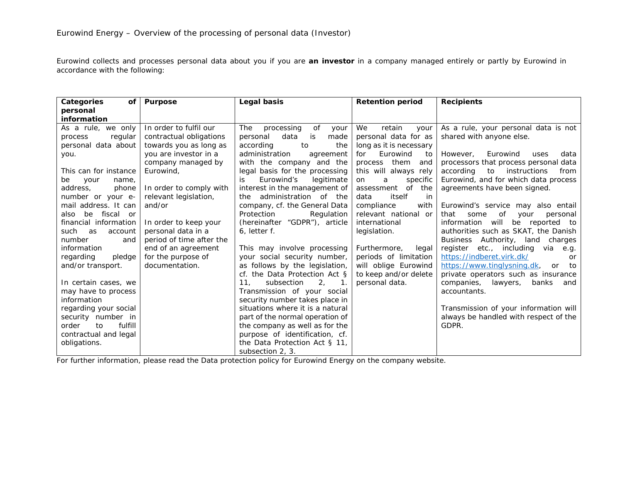Eurowind collects and processes personal data about you if you are **an investor** in a company managed entirely or partly by Eurowind in accordance with the following:

| Categories<br><b>of</b> | <b>Purpose</b>           | Legal basis                         | <b>Retention period</b> | <b>Recipients</b>                              |
|-------------------------|--------------------------|-------------------------------------|-------------------------|------------------------------------------------|
| personal                |                          |                                     |                         |                                                |
| information             |                          |                                     |                         |                                                |
| As a rule, we only      | In order to fulfil our   | The<br>processing<br>of<br>your     | We<br>retain<br>your    | As a rule, your personal data is not           |
| regular<br>process      | contractual obligations  | data<br>is<br>personal<br>made      | personal data for as    | shared with anyone else.                       |
| personal data about     | towards you as long as   | according<br>the<br>to              | long as it is necessary |                                                |
| you.                    | you are investor in a    | administration<br>agreement         | Eurowind<br>for<br>to   | Eurowind<br>However,<br>data<br>uses           |
|                         | company managed by       | with the company and the            | process<br>them<br>and  | processors that process personal data          |
| This can for instance   | Eurowind,                | legal basis for the processing      | this will always rely   | according<br>to<br>instructions<br>from        |
| your<br>be<br>name.     |                          | Eurowind's<br>legitimate<br>is      | specific<br>on.<br>a    | Eurowind, and for which data process           |
| address,<br>phone       | In order to comply with  | interest in the management of       | of<br>the<br>assessment | agreements have been signed.                   |
| number or your e-       | relevant legislation,    | administration of the<br>the.       | data<br>itself<br>in    |                                                |
| mail address. It can    | and/or                   | company, cf. the General Data       | compliance<br>with      | Eurowind's service may also entail             |
| fiscal or<br>be<br>also |                          | Protection<br>Regulation            | relevant national or    | that<br>of<br>some<br>your<br>personal         |
| financial information   | In order to keep your    | (hereinafter "GDPR"), article       | international           | information will<br>be reported to             |
| such<br>as<br>account   | personal data in a       | 6, letter f.                        | legislation.            | authorities such as SKAT, the Danish           |
| number<br>and           | period of time after the |                                     |                         | Business Authority, land charges               |
| information             | end of an agreement      | This may involve processing         | Furthermore,<br>legal   | register<br>etc., including<br>via<br>e.g.     |
| regarding<br>pledge     | for the purpose of       | your social security number,        | periods of limitation   | https://indberet.virk.dk/<br>or                |
| and/or transport.       | documentation.           | as follows by the legislation,      | will oblige Eurowind    | https://www.tinglysning.dk,<br>to<br><b>or</b> |
|                         |                          | cf. the Data Protection Act §       | to keep and/or delete   | private operators such as insurance            |
| In certain cases, we    |                          | 11.<br>subsection<br>2 <sub>r</sub> | personal data.          | companies, lawyers,<br>banks<br>and            |
| may have to process     |                          | Transmission of your social         |                         | accountants.                                   |
| information             |                          | security number takes place in      |                         |                                                |
| regarding your social   |                          | situations where it is a natural    |                         | Transmission of your information will          |
| security number in      |                          | part of the normal operation of     |                         | always be handled with respect of the          |
| fulfill<br>order<br>to  |                          | the company as well as for the      |                         | GDPR.                                          |
| contractual and legal   |                          | purpose of identification, cf.      |                         |                                                |
| obligations.            |                          | the Data Protection Act § 11,       |                         |                                                |
|                         |                          | subsection 2, 3.                    |                         |                                                |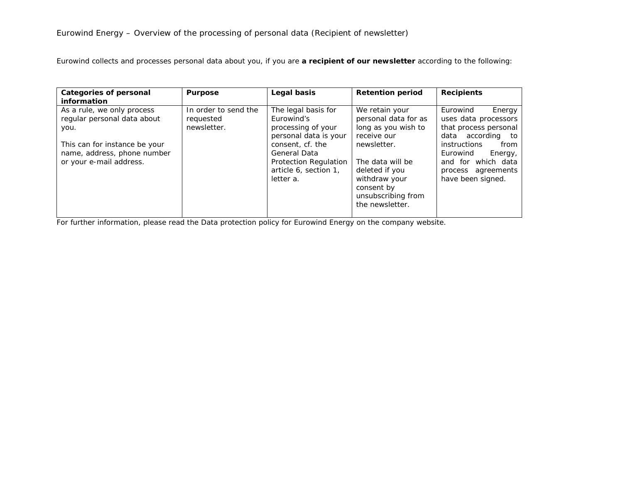Eurowind collects and processes personal data about you, if you are **a recipient of our newsletter** according to the following:

| <b>Categories of personal</b><br><b>information</b>                                                                                                          | <b>Purpose</b>                                   | Legal basis                                                                                                                                                                         | <b>Retention period</b>                                                                                                                                                                                   | <b>Recipients</b>                                                                                                                                                                                        |
|--------------------------------------------------------------------------------------------------------------------------------------------------------------|--------------------------------------------------|-------------------------------------------------------------------------------------------------------------------------------------------------------------------------------------|-----------------------------------------------------------------------------------------------------------------------------------------------------------------------------------------------------------|----------------------------------------------------------------------------------------------------------------------------------------------------------------------------------------------------------|
| As a rule, we only process<br>regular personal data about<br>you.<br>This can for instance be your<br>name, address, phone number<br>or your e-mail address. | In order to send the<br>requested<br>newsletter. | The legal basis for<br>Eurowind's<br>processing of your<br>personal data is your<br>consent, cf. the<br>General Data<br>Protection Regulation<br>article 6, section 1,<br>letter a. | We retain your<br>personal data for as<br>long as you wish to<br>receive our<br>newsletter.<br>The data will be<br>deleted if you<br>withdraw your<br>consent by<br>unsubscribing from<br>the newsletter. | Eurowind<br>Energy<br>uses data processors<br>that process personal<br>data according to<br>instructions<br>from<br>Eurowind<br>Energy,<br>and for which data<br>process agreements<br>have been signed. |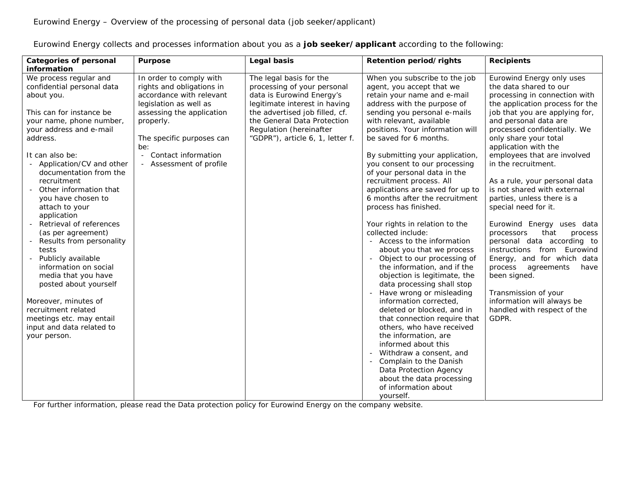Eurowind Energy collects and processes information about you as a **job seeker/applicant** according to the following:

| <b>Categories of personal</b>                                                                                                                                                     | <b>Purpose</b>                                                                                                                          | Legal basis                                                                                                                                            | Retention period/rights                                                                                                                                                                                                                        | <b>Recipients</b>                                                                                                                                                                                     |
|-----------------------------------------------------------------------------------------------------------------------------------------------------------------------------------|-----------------------------------------------------------------------------------------------------------------------------------------|--------------------------------------------------------------------------------------------------------------------------------------------------------|------------------------------------------------------------------------------------------------------------------------------------------------------------------------------------------------------------------------------------------------|-------------------------------------------------------------------------------------------------------------------------------------------------------------------------------------------------------|
| information                                                                                                                                                                       |                                                                                                                                         |                                                                                                                                                        |                                                                                                                                                                                                                                                |                                                                                                                                                                                                       |
| We process regular and<br>confidential personal data<br>about you.<br>This can for instance be                                                                                    | In order to comply with<br>rights and obligations in<br>accordance with relevant<br>legislation as well as<br>assessing the application | The legal basis for the<br>processing of your personal<br>data is Eurowind Energy's<br>legitimate interest in having<br>the advertised job filled, cf. | When you subscribe to the job<br>agent, you accept that we<br>retain your name and e-mail<br>address with the purpose of<br>sending you personal e-mails                                                                                       | Eurowind Energy only uses<br>the data shared to our<br>processing in connection with<br>the application process for the<br>job that you are applying for,                                             |
| your name, phone number,<br>your address and e-mail<br>address.                                                                                                                   | properly.<br>The specific purposes can<br>be:                                                                                           | the General Data Protection<br>Regulation (hereinafter<br>"GDPR"), article 6, 1, letter f.                                                             | with relevant, available<br>positions. Your information will<br>be saved for 6 months.                                                                                                                                                         | and personal data are<br>processed confidentially. We<br>only share your total<br>application with the                                                                                                |
| It can also be:<br>Application/CV and other<br>documentation from the<br>recruitment                                                                                              | Contact information<br>$\blacksquare$<br>Assessment of profile                                                                          |                                                                                                                                                        | By submitting your application,<br>you consent to our processing<br>of your personal data in the<br>recruitment process. All                                                                                                                   | employees that are involved<br>in the recruitment.<br>As a rule, your personal data                                                                                                                   |
| Other information that<br>you have chosen to<br>attach to your<br>application                                                                                                     |                                                                                                                                         |                                                                                                                                                        | applications are saved for up to<br>6 months after the recruitment<br>process has finished.                                                                                                                                                    | is not shared with external<br>parties, unless there is a<br>special need for it.                                                                                                                     |
| Retrieval of references<br>(as per agreement)<br>Results from personality<br>tests<br>Publicly available<br>information on social<br>media that you have<br>posted about yourself |                                                                                                                                         |                                                                                                                                                        | Your rights in relation to the<br>collected include:<br>- Access to the information<br>about you that we process<br>- Object to our processing of<br>the information, and if the<br>objection is legitimate, the<br>data processing shall stop | Eurowind Energy uses data<br>that<br>processors<br>process<br>personal data according to<br>instructions from Eurowind<br>Energy, and for which data<br>process<br>agreements<br>have<br>been signed. |
| Moreover, minutes of<br>recruitment related<br>meetings etc. may entail<br>input and data related to<br>your person.                                                              |                                                                                                                                         |                                                                                                                                                        | Have wrong or misleading<br>information corrected,<br>deleted or blocked, and in<br>that connection require that<br>others, who have received<br>the information, are<br>informed about this                                                   | Transmission of your<br>information will always be<br>handled with respect of the<br>GDPR.                                                                                                            |
|                                                                                                                                                                                   |                                                                                                                                         |                                                                                                                                                        | Withdraw a consent, and<br>Complain to the Danish<br>Data Protection Agency<br>about the data processing<br>of information about<br>yourself.                                                                                                  |                                                                                                                                                                                                       |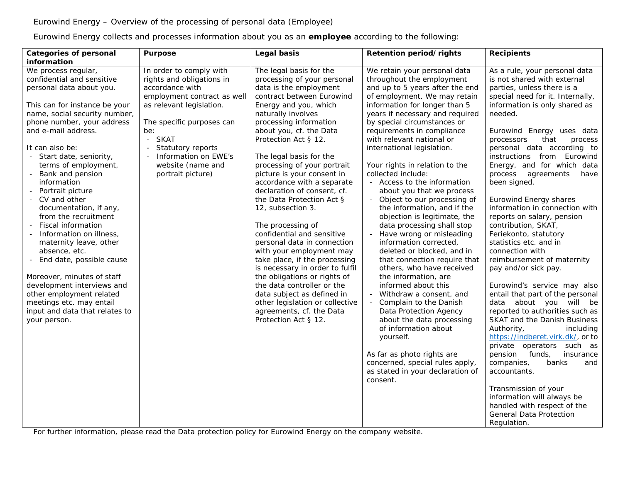Eurowind Energy collects and processes information about you as an **employee** according to the following:

| information                                                                                                                                                                                                                                                                                                                                                                                                                                                                                                                                                                                                                                                                                                                                                                                                                                                                                                                                                                                                                                                                                                                                                                                                                                                                                                                                                                                                                                                                                                                                                                                                                                                                                                                                                                                                                                                                                                                                                                                                                                                                                                                                                                                                                                                                                                                                                                                                                                                                                                                                                                                                                                                                                                                                                                                                                                                                                                                                                                                                                                                                                                                                                                                                                                                                                                                                                                                                                                                                                                                                                                                                                                                                                                                                                                                                                                                                                                                            |                                                  |
|----------------------------------------------------------------------------------------------------------------------------------------------------------------------------------------------------------------------------------------------------------------------------------------------------------------------------------------------------------------------------------------------------------------------------------------------------------------------------------------------------------------------------------------------------------------------------------------------------------------------------------------------------------------------------------------------------------------------------------------------------------------------------------------------------------------------------------------------------------------------------------------------------------------------------------------------------------------------------------------------------------------------------------------------------------------------------------------------------------------------------------------------------------------------------------------------------------------------------------------------------------------------------------------------------------------------------------------------------------------------------------------------------------------------------------------------------------------------------------------------------------------------------------------------------------------------------------------------------------------------------------------------------------------------------------------------------------------------------------------------------------------------------------------------------------------------------------------------------------------------------------------------------------------------------------------------------------------------------------------------------------------------------------------------------------------------------------------------------------------------------------------------------------------------------------------------------------------------------------------------------------------------------------------------------------------------------------------------------------------------------------------------------------------------------------------------------------------------------------------------------------------------------------------------------------------------------------------------------------------------------------------------------------------------------------------------------------------------------------------------------------------------------------------------------------------------------------------------------------------------------------------------------------------------------------------------------------------------------------------------------------------------------------------------------------------------------------------------------------------------------------------------------------------------------------------------------------------------------------------------------------------------------------------------------------------------------------------------------------------------------------------------------------------------------------------------------------------------------------------------------------------------------------------------------------------------------------------------------------------------------------------------------------------------------------------------------------------------------------------------------------------------------------------------------------------------------------------------------------------------------------------------------------------------------------------|--------------------------------------------------|
| The legal basis for the<br>We retain your personal data<br>We process regular,<br>In order to comply with<br>As a rule, your personal data<br>confidential and sensitive<br>throughout the employment<br>rights and obligations in<br>processing of your personal<br>is not shared with external<br>and up to 5 years after the end<br>accordance with<br>data is the employment<br>parties, unless there is a<br>personal data about you.<br>of employment. We may retain<br>employment contract as well<br>contract between Eurowind<br>special need for it. Internally,<br>information for longer than 5<br>information is only shared as<br>This can for instance be your<br>as relevant legislation.<br>Energy and you, which<br>name, social security number,<br>years if necessary and required<br>naturally involves<br>needed.<br>phone number, your address<br>processing information<br>by special circumstances or<br>The specific purposes can<br>and e-mail address.<br>about you, cf. the Data<br>requirements in compliance<br>be:<br>Eurowind Energy uses data<br>- SKAT<br>Protection Act § 12.<br>with relevant national or<br>that<br>processors<br>Statutory reports<br>international legislation.<br>personal data according to<br>It can also be:<br>- Information on EWE's<br>The legal basis for the<br>instructions from Eurowind<br>- Start date, seniority,<br>processing of your portrait<br>terms of employment,<br>website (name and<br>Your rights in relation to the<br>Energy, and for which data<br>picture is your consent in<br>collected include:<br>Bank and pension<br>portrait picture)<br>process agreements<br>information<br>accordance with a separate<br>- Access to the information<br>been signed.<br>- Portrait picture<br>declaration of consent, cf.<br>about you that we process<br>the Data Protection Act §<br>- Object to our processing of<br><b>Eurowind Energy shares</b><br>- CV and other<br>the information, and if the<br>information in connection with<br>documentation, if any,<br>12, subsection 3.<br>from the recruitment<br>objection is legitimate, the<br>reports on salary, pension<br><b>Fiscal information</b><br>The processing of<br>data processing shall stop<br>contribution, SKAT,<br>confidential and sensitive<br>Information on illness,<br>Have wrong or misleading<br>Feriekonto, statutory<br>information corrected,<br>maternity leave, other<br>personal data in connection<br>statistics etc. and in<br>absence, etc.<br>with your employment may<br>deleted or blocked, and in<br>connection with<br>End date, possible cause<br>take place, if the processing<br>that connection require that<br>reimbursement of maternity<br>is necessary in order to fulfil<br>others, who have received<br>pay and/or sick pay.<br>the obligations or rights of<br>Moreover, minutes of staff<br>the information, are<br>the data controller or the<br>development interviews and<br>informed about this<br>Eurowind's service may also<br>entail that part of the personal<br>other employment related<br>data subject as defined in<br>- Withdraw a consent, and<br>data about you will be<br>meetings etc. may entail<br>other legislation or collective<br>- Complain to the Danish<br>input and data that relates to<br>agreements, cf. the Data<br>reported to authorities such as<br>Data Protection Agency<br>about the data processing<br>Protection Act § 12.<br>SKAT and the Danish Business<br>your person.<br>of information about<br>Authority,<br>https://indberet.virk.dk/, or to<br>yourself.<br>private operators such as<br>As far as photo rights are<br>pension<br>funds,<br>concerned, special rules apply,<br>companies,<br>banks<br>as stated in your declaration of<br>accountants.<br>consent.<br>Transmission of your<br>information will always be<br>handled with respect of the<br>General Data Protection<br>Regulation. | process<br>have<br>including<br>insurance<br>and |